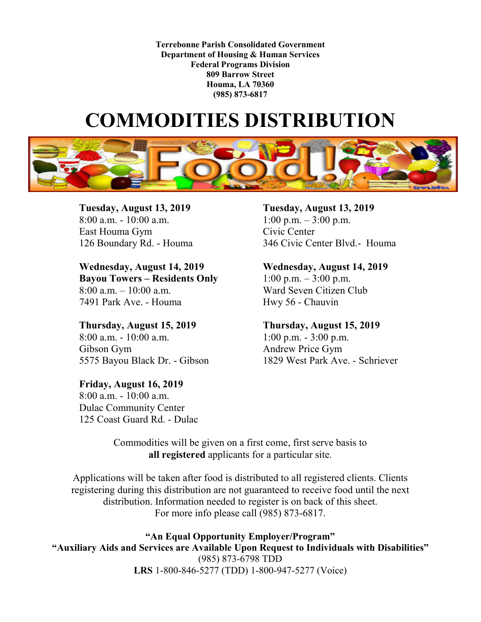**Terrebonne Parish Consolidated Government Department of Housing & Human Services Federal Programs Division 809 Barrow Street Houma, LA 70360 (985) 873-6817**

## **COMMODITIES DISTRIBUTION**



**Tuesday, August 13, 2019**<br>
8:00 a.m. - 10:00 a.m. <br> **Tuesday, August 13, 2019**<br>
1:00 p.m. – 3:00 p.m. East Houma Gym Civic Center

**Wednesday, August 14, 2019 Wednesday, August 14, 2019 Bayou Towers – Residents Only** 1:00 p.m. – 3:00 p.m. 8:00 a.m. – 10:00 a.m. Ward Seven Citizen Club 7491 Park Ave. - Houma Hwy 56 - Chauvin

**Thursday, August 15, 2019 Thursday, August 15, 2019**  8:00 a.m. - 10:00 a.m. 1:00 p.m. - 3:00 p.m. Gibson Gym Andrew Price Gym

**Friday, August 16, 2019** 8:00 a.m. - 10:00 a.m. Dulac Community Center 125 Coast Guard Rd. - Dulac

1:00 p.m.  $-$  3:00 p.m. 126 Boundary Rd. - Houma 346 Civic Center Blvd.- Houma

5575 Bayou Black Dr. - Gibson 1829 West Park Ave. - Schriever

Commodities will be given on a first come, first serve basis to **all registered** applicants for a particular site.

Applications will be taken after food is distributed to all registered clients. Clients registering during this distribution are not guaranteed to receive food until the next distribution. Information needed to register is on back of this sheet. For more info please call (985) 873-6817.

**"An Equal Opportunity Employer/Program" "Auxiliary Aids and Services are Available Upon Request to Individuals with Disabilities"** (985) 873-6798 TDD **LRS** 1-800-846-5277 (TDD) 1-800-947-5277 (Voice)